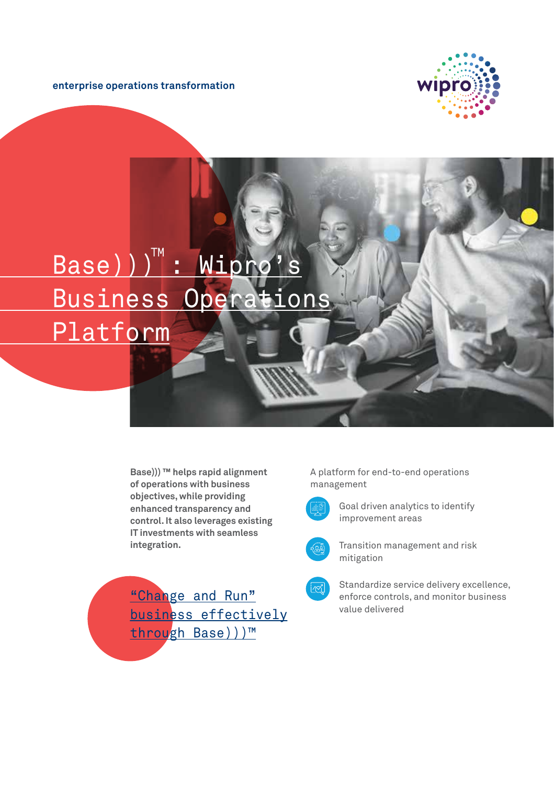**enterprise operations transformation**



## Base)))": Wipro's Business Operations Platform

**Base))) ™ helps rapid alignment of operations with business objectives, while providing enhanced transparency and control. It also leverages existing IT investments with seamless integration.** 

"Change and Run" business effectively through Base)))™

A platform for end-to-end operations management



Goal driven analytics to identify improvement areas



Transition management and risk mitigation



Standardize service delivery excellence, enforce controls, and monitor business value delivered